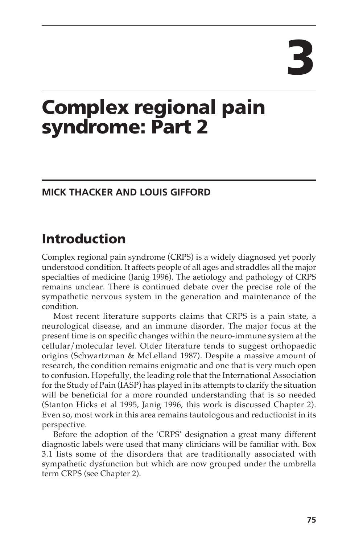# **3**

# **Complex regional pain syndrome: Part 2**

#### **MICK THACKER AND LOUIS GIFFORD**

## **Introduction**

Complex regional pain syndrome (CRPS) is a widely diagnosed yet poorly understood condition. It affects people of all ages and straddles all the major specialties of medicine (Janig 1996). The aetiology and pathology of CRPS remains unclear. There is continued debate over the precise role of the sympathetic nervous system in the generation and maintenance of the condition.

Most recent literature supports claims that CRPS is a pain state, a neurological disease, and an immune disorder. The major focus at the present time is on specific changes within the neuro-immune system at the cellular/molecular level. Older literature tends to suggest orthopaedic origins (Schwartzman & McLelland 1987). Despite a massive amount of research, the condition remains enigmatic and one that is very much open to confusion. Hopefully, the leading role that the International Association for the Study of Pain (IASP) has played in its attempts to clarify the situation will be beneficial for a more rounded understanding that is so needed (Stanton Hicks et al 1995, Janig 1996, this work is discussed Chapter 2). Even so, most work in this area remains tautologous and reductionist in its perspective.

Before the adoption of the 'CRPS' designation a great many different diagnostic labels were used that many clinicians will be familiar with. Box 3.1 lists some of the disorders that are traditionally associated with sympathetic dysfunction but which are now grouped under the umbrella term CRPS (see Chapter 2).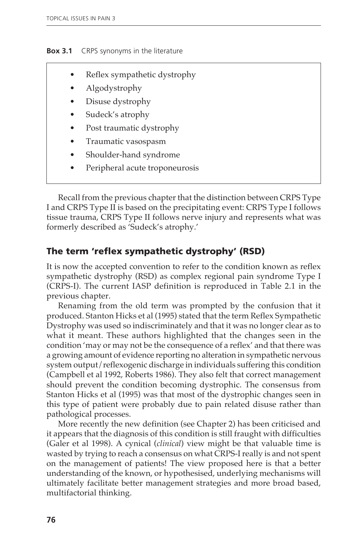#### **Box 3.1** CRPS synonyms in the literature

- Reflex sympathetic dystrophy
- Algodystrophy
- Disuse dystrophy
- Sudeck's atrophy
- Post traumatic dystrophy
- Traumatic vasospasm
- Shoulder-hand syndrome
- Peripheral acute troponeurosis

Recall from the previous chapter that the distinction between CRPS Type I and CRPS Type II is based on the precipitating event: CRPS Type I follows tissue trauma, CRPS Type II follows nerve injury and represents what was formerly described as 'Sudeck's atrophy.'

#### **The term 'reflex sympathetic dystrophy' (RSD)**

It is now the accepted convention to refer to the condition known as reflex sympathetic dystrophy (RSD) as complex regional pain syndrome Type I (CRPS-I). The current IASP definition is reproduced in Table 2.1 in the previous chapter.

Renaming from the old term was prompted by the confusion that it produced. Stanton Hicks et al (1995) stated that the term Reflex Sympathetic Dystrophy was used so indiscriminately and that it was no longer clear as to what it meant. These authors highlighted that the changes seen in the condition 'may or may not be the consequence of a reflex' and that there was a growing amount of evidence reporting no alteration in sympathetic nervous system output/reflexogenic discharge in individuals suffering this condition (Campbell et al 1992, Roberts 1986). They also felt that correct management should prevent the condition becoming dystrophic. The consensus from Stanton Hicks et al (1995) was that most of the dystrophic changes seen in this type of patient were probably due to pain related disuse rather than pathological processes.

More recently the new definition (see Chapter 2) has been criticised and it appears that the diagnosis of this condition is still fraught with difficulties (Galer et al 1998). A cynical (*clinical*) view might be that valuable time is wasted by trying to reach a consensus on what CRPS-I really is and not spent on the management of patients! The view proposed here is that a better understanding of the known, or hypothesised, underlying mechanisms will ultimately facilitate better management strategies and more broad based, multifactorial thinking.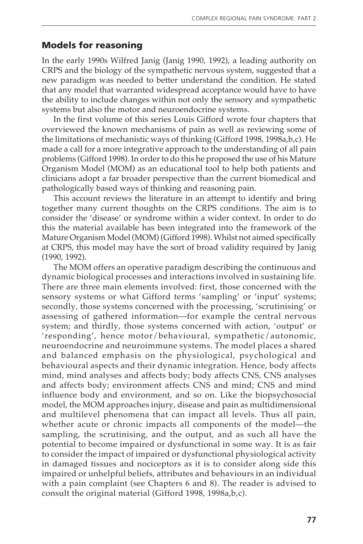#### **Models for reasoning**

In the early 1990s Wilfred Janig (Janig 1990, 1992), a leading authority on CRPS and the biology of the sympathetic nervous system, suggested that a new paradigm was needed to better understand the condition. He stated that any model that warranted widespread acceptance would have to have the ability to include changes within not only the sensory and sympathetic systems but also the motor and neuroendocrine systems.

In the first volume of this series Louis Gifford wrote four chapters that overviewed the known mechanisms of pain as well as reviewing some of the limitations of mechanistic ways of thinking (Gifford 1998, 1998a,b,c). He made a call for a more integrative approach to the understanding of all pain problems (Gifford 1998). In order to do this he proposed the use of his Mature Organism Model (MOM) as an educational tool to help both patients and clinicians adopt a far broader perspective than the current biomedical and pathologically based ways of thinking and reasoning pain.

This account reviews the literature in an attempt to identify and bring together many current thoughts on the CRPS conditions. The aim is to consider the 'disease' or syndrome within a wider context. In order to do this the material available has been integrated into the framework of the Mature Organism Model (MOM) (Gifford 1998). Whilst not aimed specifically at CRPS, this model may have the sort of broad validity required by Janig (1990, 1992).

The MOM offers an operative paradigm describing the continuous and dynamic biological processes and interactions involved in sustaining life. There are three main elements involved: first, those concerned with the sensory systems or what Gifford terms 'sampling' or 'input' systems; secondly, those systems concerned with the processing, 'scrutinising' or assessing of gathered information—for example the central nervous system; and thirdly, those systems concerned with action, 'output' or 'responding', hence motor/behavioural, sympathetic/autonomic, neuroendocrine and neuroimmune systems. The model places a shared and balanced emphasis on the physiological, psychological and behavioural aspects and their dynamic integration. Hence, body affects mind, mind analyses and affects body; body affects CNS, CNS analyses and affects body; environment affects CNS and mind; CNS and mind influence body and environment, and so on. Like the biopsychosocial model, the MOM approaches injury, disease and pain as multidimensional and multilevel phenomena that can impact all levels. Thus all pain, whether acute or chronic impacts all components of the model—the sampling, the scrutinising, and the output, and as such all have the potential to become impaired or dysfunctional in some way. It is as fair to consider the impact of impaired or dysfunctional physiological activity in damaged tissues and nociceptors as it is to consider along side this impaired or unhelpful beliefs, attributes and behaviours in an individual with a pain complaint (see Chapters 6 and 8). The reader is advised to consult the original material (Gifford 1998, 1998a,b,c).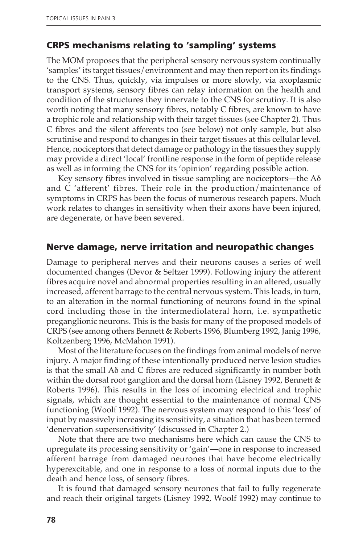#### **CRPS mechanisms relating to 'sampling' systems**

The MOM proposes that the peripheral sensory nervous system continually 'samples' its target tissues/environment and may then report on its findings to the CNS. Thus, quickly, via impulses or more slowly, via axoplasmic transport systems, sensory fibres can relay information on the health and condition of the structures they innervate to the CNS for scrutiny. It is also worth noting that many sensory fibres, notably C fibres, are known to have a trophic role and relationship with their target tissues (see Chapter 2). Thus C fibres and the silent afferents too (see below) not only sample, but also scrutinise and respond to changes in their target tissues at this cellular level. Hence, nociceptors that detect damage or pathology in the tissues they supply may provide a direct 'local' frontline response in the form of peptide release as well as informing the CNS for its 'opinion' regarding possible action.

Key sensory fibres involved in tissue sampling are nociceptors—the Aδ and C 'afferent' fibres. Their role in the production/maintenance of symptoms in CRPS has been the focus of numerous research papers. Much work relates to changes in sensitivity when their axons have been injured, are degenerate, or have been severed.

#### **Nerve damage, nerve irritation and neuropathic changes**

Damage to peripheral nerves and their neurons causes a series of well documented changes (Devor & Seltzer 1999). Following injury the afferent fibres acquire novel and abnormal properties resulting in an altered, usually increased, afferent barrage to the central nervous system. This leads, in turn, to an alteration in the normal functioning of neurons found in the spinal cord including those in the intermediolateral horn, i.e. sympathetic preganglionic neurons. This is the basis for many of the proposed models of CRPS (see among others Bennett & Roberts 1996, Blumberg 1992, Janig 1996, Koltzenberg 1996, McMahon 1991).

Most of the literature focuses on the findings from animal models of nerve injury. A major finding of these intentionally produced nerve lesion studies is that the small Aδ and C fibres are reduced significantly in number both within the dorsal root ganglion and the dorsal horn (Lisney 1992, Bennett & Roberts 1996). This results in the loss of incoming electrical and trophic signals, which are thought essential to the maintenance of normal CNS functioning (Woolf 1992). The nervous system may respond to this 'loss' of input by massively increasing its sensitivity, a situation that has been termed 'denervation supersensitivity' (discussed in Chapter 2.)

Note that there are two mechanisms here which can cause the CNS to upregulate its processing sensitivity or 'gain'—one in response to increased afferent barrage from damaged neurones that have become electrically hyperexcitable, and one in response to a loss of normal inputs due to the death and hence loss, of sensory fibres.

It is found that damaged sensory neurones that fail to fully regenerate and reach their original targets (Lisney 1992, Woolf 1992) may continue to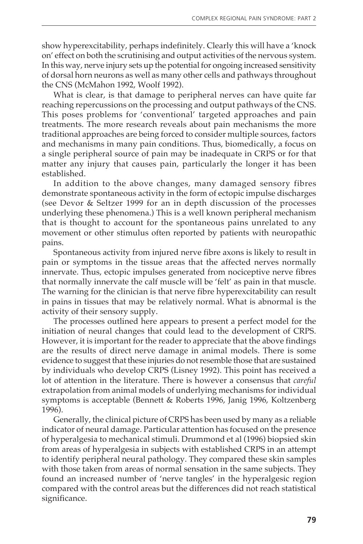show hyperexcitability, perhaps indefinitely. Clearly this will have a 'knock on' effect on both the scrutinising and output activities of the nervous system. In this way, nerve injury sets up the potential for ongoing increased sensitivity of dorsal horn neurons as well as many other cells and pathways throughout the CNS (McMahon 1992, Woolf 1992).

What is clear, is that damage to peripheral nerves can have quite far reaching repercussions on the processing and output pathways of the CNS. This poses problems for 'conventional' targeted approaches and pain treatments. The more research reveals about pain mechanisms the more traditional approaches are being forced to consider multiple sources, factors and mechanisms in many pain conditions. Thus, biomedically, a focus on a single peripheral source of pain may be inadequate in CRPS or for that matter any injury that causes pain, particularly the longer it has been established.

In addition to the above changes, many damaged sensory fibres demonstrate spontaneous activity in the form of ectopic impulse discharges (see Devor & Seltzer 1999 for an in depth discussion of the processes underlying these phenomena.) This is a well known peripheral mechanism that is thought to account for the spontaneous pains unrelated to any movement or other stimulus often reported by patients with neuropathic pains.

Spontaneous activity from injured nerve fibre axons is likely to result in pain or symptoms in the tissue areas that the affected nerves normally innervate. Thus, ectopic impulses generated from nociceptive nerve fibres that normally innervate the calf muscle will be 'felt' as pain in that muscle. The warning for the clinician is that nerve fibre hyperexcitability can result in pains in tissues that may be relatively normal. What is abnormal is the activity of their sensory supply.

The processes outlined here appears to present a perfect model for the initiation of neural changes that could lead to the development of CRPS. However, it is important for the reader to appreciate that the above findings are the results of direct nerve damage in animal models. There is some evidence to suggest that these injuries do not resemble those that are sustained by individuals who develop CRPS (Lisney 1992). This point has received a lot of attention in the literature. There is however a consensus that *careful* extrapolation from animal models of underlying mechanisms for individual symptoms is acceptable (Bennett & Roberts 1996, Janig 1996, Koltzenberg 1996).

Generally, the clinical picture of CRPS has been used by many as a reliable indicator of neural damage. Particular attention has focused on the presence of hyperalgesia to mechanical stimuli. Drummond et al (1996) biopsied skin from areas of hyperalgesia in subjects with established CRPS in an attempt to identify peripheral neural pathology. They compared these skin samples with those taken from areas of normal sensation in the same subjects. They found an increased number of 'nerve tangles' in the hyperalgesic region compared with the control areas but the differences did not reach statistical significance.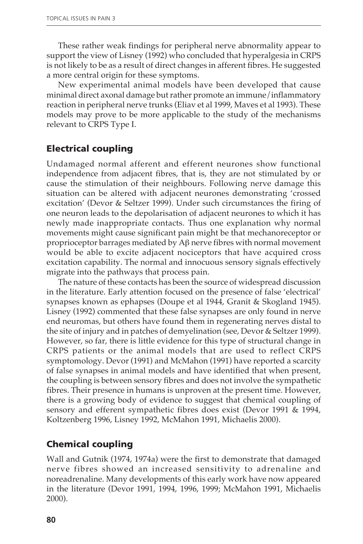These rather weak findings for peripheral nerve abnormality appear to support the view of Lisney (1992) who concluded that hyperalgesia in CRPS is not likely to be as a result of direct changes in afferent fibres. He suggested a more central origin for these symptoms.

New experimental animal models have been developed that cause minimal direct axonal damage but rather promote an immune/inflammatory reaction in peripheral nerve trunks (Eliav et al 1999, Maves et al 1993). These models may prove to be more applicable to the study of the mechanisms relevant to CRPS Type I.

#### **Electrical coupling**

Undamaged normal afferent and efferent neurones show functional independence from adjacent fibres, that is, they are not stimulated by or cause the stimulation of their neighbours. Following nerve damage this situation can be altered with adjacent neurones demonstrating 'crossed excitation' (Devor & Seltzer 1999). Under such circumstances the firing of one neuron leads to the depolarisation of adjacent neurones to which it has newly made inappropriate contacts. Thus one explanation why normal movements might cause significant pain might be that mechanoreceptor or proprioceptor barrages mediated by Aβ nerve fibres with normal movement would be able to excite adjacent nociceptors that have acquired cross excitation capability. The normal and innocuous sensory signals effectively migrate into the pathways that process pain.

The nature of these contacts has been the source of widespread discussion in the literature. Early attention focused on the presence of false 'electrical' synapses known as ephapses (Doupe et al 1944, Granit & Skogland 1945). Lisney (1992) commented that these false synapses are only found in nerve end neuromas, but others have found them in regenerating nerves distal to the site of injury and in patches of demyelination (see, Devor & Seltzer 1999). However, so far, there is little evidence for this type of structural change in CRPS patients or the animal models that are used to reflect CRPS symptomology. Devor (1991) and McMahon (1991) have reported a scarcity of false synapses in animal models and have identified that when present, the coupling is between sensory fibres and does not involve the sympathetic fibres. Their presence in humans is unproven at the present time. However, there is a growing body of evidence to suggest that chemical coupling of sensory and efferent sympathetic fibres does exist (Devor 1991 & 1994, Koltzenberg 1996, Lisney 1992, McMahon 1991, Michaelis 2000).

#### **Chemical coupling**

Wall and Gutnik (1974, 1974a) were the first to demonstrate that damaged nerve fibres showed an increased sensitivity to adrenaline and noreadrenaline. Many developments of this early work have now appeared in the literature (Devor 1991, 1994, 1996, 1999; McMahon 1991, Michaelis 2000).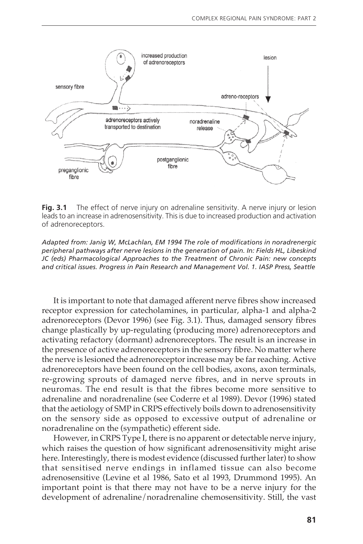

**Fig. 3.1** The effect of nerve injury on adrenaline sensitivity. A nerve injury or lesion leads to an increase in adrenosensitivity. This is due to increased production and activation of adrenoreceptors.

*Adapted from: Janig W, McLachlan, EM 1994 The role of modifications in noradrenergic peripheral pathways after nerve lesions in the generation of pain. In: Fields HL, Libeskind JC (eds) Pharmacological Approaches to the Treatment of Chronic Pain: new concepts and critical issues. Progress in Pain Research and Management Vol. 1. IASP Press, Seattle*

It is important to note that damaged afferent nerve fibres show increased receptor expression for catecholamines, in particular, alpha-1 and alpha-2 adrenoreceptors (Devor 1996) (see Fig. 3.1). Thus, damaged sensory fibres change plastically by up-regulating (producing more) adrenoreceptors and activating refactory (dormant) adrenoreceptors. The result is an increase in the presence of active adrenoreceptors in the sensory fibre. No matter where the nerve is lesioned the adrenoreceptor increase may be far reaching. Active adrenoreceptors have been found on the cell bodies, axons, axon terminals, re-growing sprouts of damaged nerve fibres, and in nerve sprouts in neuromas. The end result is that the fibres become more sensitive to adrenaline and noradrenaline (see Coderre et al 1989). Devor (1996) stated that the aetiology of SMP in CRPS effectively boils down to adrenosensitivity on the sensory side as opposed to excessive output of adrenaline or noradrenaline on the (sympathetic) efferent side.

However, in CRPS Type I, there is no apparent or detectable nerve injury, which raises the question of how significant adrenosensitivity might arise here. Interestingly, there is modest evidence (discussed further later) to show that sensitised nerve endings in inflamed tissue can also become adrenosensitive (Levine et al 1986, Sato et al 1993, Drummond 1995). An important point is that there may not have to be a nerve injury for the development of adrenaline/noradrenaline chemosensitivity. Still, the vast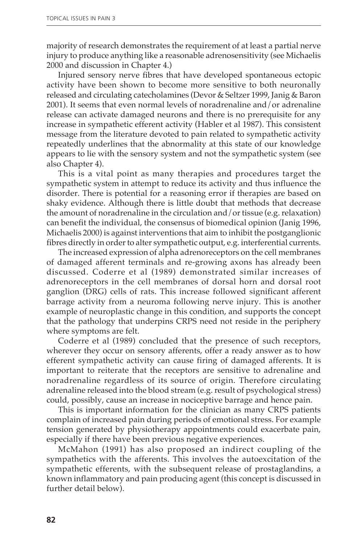majority of research demonstrates the requirement of at least a partial nerve injury to produce anything like a reasonable adrenosensitivity (see Michaelis 2000 and discussion in Chapter 4.)

Injured sensory nerve fibres that have developed spontaneous ectopic activity have been shown to become more sensitive to both neuronally released and circulating catecholamines (Devor & Seltzer 1999, Janig & Baron 2001). It seems that even normal levels of noradrenaline and/or adrenaline release can activate damaged neurons and there is no prerequisite for any increase in sympathetic efferent activity (Habler et al 1987). This consistent message from the literature devoted to pain related to sympathetic activity repeatedly underlines that the abnormality at this state of our knowledge appears to lie with the sensory system and not the sympathetic system (see also Chapter 4).

This is a vital point as many therapies and procedures target the sympathetic system in attempt to reduce its activity and thus influence the disorder. There is potential for a reasoning error if therapies are based on shaky evidence. Although there is little doubt that methods that decrease the amount of noradrenaline in the circulation and/or tissue (e.g. relaxation) can benefit the individual, the consensus of biomedical opinion (Janig 1996, Michaelis 2000) is against interventions that aim to inhibit the postganglionic fibres directly in order to alter sympathetic output, e.g. interferential currents.

The increased expression of alpha adrenoreceptors on the cell membranes of damaged afferent terminals and re-growing axons has already been discussed. Coderre et al (1989) demonstrated similar increases of adrenoreceptors in the cell membranes of dorsal horn and dorsal root ganglion (DRG) cells of rats. This increase followed significant afferent barrage activity from a neuroma following nerve injury. This is another example of neuroplastic change in this condition, and supports the concept that the pathology that underpins CRPS need not reside in the periphery where symptoms are felt.

Coderre et al (1989) concluded that the presence of such receptors, wherever they occur on sensory afferents, offer a ready answer as to how efferent sympathetic activity can cause firing of damaged afferents. It is important to reiterate that the receptors are sensitive to adrenaline and noradrenaline regardless of its source of origin. Therefore circulating adrenaline released into the blood stream (e.g. result of psychological stress) could, possibly, cause an increase in nociceptive barrage and hence pain.

This is important information for the clinician as many CRPS patients complain of increased pain during periods of emotional stress. For example tension generated by physiotherapy appointments could exacerbate pain, especially if there have been previous negative experiences.

McMahon (1991) has also proposed an indirect coupling of the sympathetics with the afferents. This involves the autoexcitation of the sympathetic efferents, with the subsequent release of prostaglandins, a known inflammatory and pain producing agent (this concept is discussed in further detail below).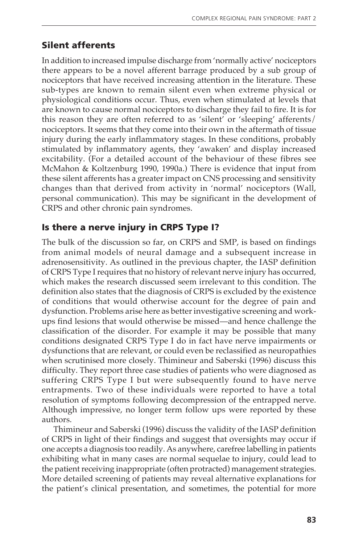#### **Silent afferents**

In addition to increased impulse discharge from 'normally active' nociceptors there appears to be a novel afferent barrage produced by a sub group of nociceptors that have received increasing attention in the literature. These sub-types are known to remain silent even when extreme physical or physiological conditions occur. Thus, even when stimulated at levels that are known to cause normal nociceptors to discharge they fail to fire. It is for this reason they are often referred to as 'silent' or 'sleeping' afferents/ nociceptors. It seems that they come into their own in the aftermath of tissue injury during the early inflammatory stages. In these conditions, probably stimulated by inflammatory agents, they 'awaken' and display increased excitability. (For a detailed account of the behaviour of these fibres see McMahon & Koltzenburg 1990, 1990a.) There is evidence that input from these silent afferents has a greater impact on CNS processing and sensitivity changes than that derived from activity in 'normal' nociceptors (Wall, personal communication). This may be significant in the development of CRPS and other chronic pain syndromes.

#### **Is there a nerve injury in CRPS Type I?**

The bulk of the discussion so far, on CRPS and SMP, is based on findings from animal models of neural damage and a subsequent increase in adrenosensitivity. As outlined in the previous chapter, the IASP definition of CRPS Type I requires that no history of relevant nerve injury has occurred, which makes the research discussed seem irrelevant to this condition. The definition also states that the diagnosis of CRPS is excluded by the existence of conditions that would otherwise account for the degree of pain and dysfunction. Problems arise here as better investigative screening and workups find lesions that would otherwise be missed—and hence challenge the classification of the disorder. For example it may be possible that many conditions designated CRPS Type I do in fact have nerve impairments or dysfunctions that are relevant, or could even be reclassified as neuropathies when scrutinised more closely. Thimineur and Saberski (1996) discuss this difficulty. They report three case studies of patients who were diagnosed as suffering CRPS Type I but were subsequently found to have nerve entrapments. Two of these individuals were reported to have a total resolution of symptoms following decompression of the entrapped nerve. Although impressive, no longer term follow ups were reported by these authors.

Thimineur and Saberski (1996) discuss the validity of the IASP definition of CRPS in light of their findings and suggest that oversights may occur if one accepts a diagnosis too readily. As anywhere, carefree labelling in patients exhibiting what in many cases are normal sequelae to injury, could lead to the patient receiving inappropriate (often protracted) management strategies. More detailed screening of patients may reveal alternative explanations for the patient's clinical presentation, and sometimes, the potential for more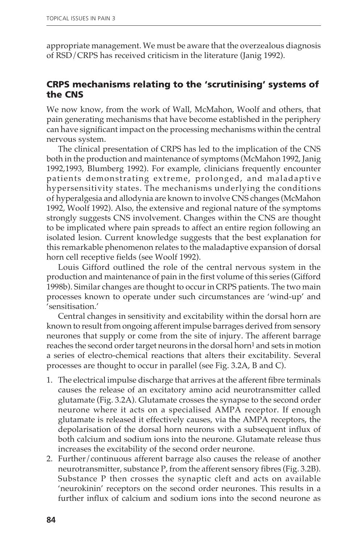appropriate management. We must be aware that the overzealous diagnosis of RSD/CRPS has received criticism in the literature (Janig 1992).

#### **CRPS mechanisms relating to the 'scrutinising' systems of the CNS**

We now know, from the work of Wall, McMahon, Woolf and others, that pain generating mechanisms that have become established in the periphery can have significant impact on the processing mechanisms within the central nervous system.

The clinical presentation of CRPS has led to the implication of the CNS both in the production and maintenance of symptoms (McMahon 1992, Janig 1992,1993, Blumberg 1992). For example, clinicians frequently encounter patients demonstrating extreme, prolonged, and maladaptive hypersensitivity states. The mechanisms underlying the conditions of hyperalgesia and allodynia are known to involve CNS changes (McMahon 1992, Woolf 1992). Also, the extensive and regional nature of the symptoms strongly suggests CNS involvement. Changes within the CNS are thought to be implicated where pain spreads to affect an entire region following an isolated lesion. Current knowledge suggests that the best explanation for this remarkable phenomenon relates to the maladaptive expansion of dorsal horn cell receptive fields (see Woolf 1992).

Louis Gifford outlined the role of the central nervous system in the production and maintenance of pain in the first volume of this series (Gifford 1998b). Similar changes are thought to occur in CRPS patients. The two main processes known to operate under such circumstances are 'wind-up' and 'sensitisation.'

Central changes in sensitivity and excitability within the dorsal horn are known to result from ongoing afferent impulse barrages derived from sensory neurones that supply or come from the site of injury. The afferent barrage reaches the second order target neurons in the dorsal horn<sup>1</sup> and sets in motion a series of electro-chemical reactions that alters their excitability. Several processes are thought to occur in parallel (see Fig. 3.2A, B and C).

- 1. The electrical impulse discharge that arrives at the afferent fibre terminals causes the release of an excitatory amino acid neurotransmitter called glutamate (Fig. 3.2A). Glutamate crosses the synapse to the second order neurone where it acts on a specialised AMPA receptor. If enough glutamate is released it effectively causes, via the AMPA receptors, the depolarisation of the dorsal horn neurons with a subsequent influx of both calcium and sodium ions into the neurone. Glutamate release thus increases the excitability of the second order neurone.
- 2. Further/continuous afferent barrage also causes the release of another neurotransmitter, substance P, from the afferent sensory fibres (Fig. 3.2B). Substance P then crosses the synaptic cleft and acts on available 'neurokinin' receptors on the second order neurones. This results in a further influx of calcium and sodium ions into the second neurone as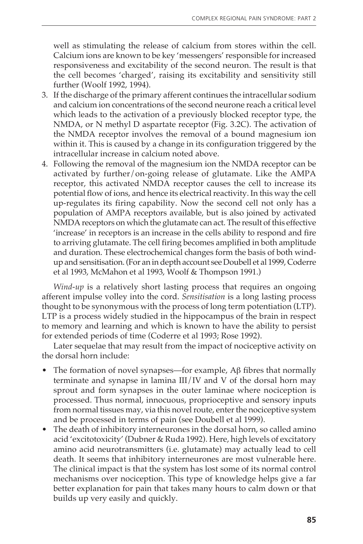well as stimulating the release of calcium from stores within the cell. Calcium ions are known to be key 'messengers' responsible for increased responsiveness and excitability of the second neuron. The result is that the cell becomes 'charged', raising its excitability and sensitivity still further (Woolf 1992, 1994).

- 3. If the discharge of the primary afferent continues the intracellular sodium and calcium ion concentrations of the second neurone reach a critical level which leads to the activation of a previously blocked receptor type, the NMDA, or N methyl D aspartate receptor (Fig. 3.2C). The activation of the NMDA receptor involves the removal of a bound magnesium ion within it. This is caused by a change in its configuration triggered by the intracellular increase in calcium noted above.
- 4. Following the removal of the magnesium ion the NMDA receptor can be activated by further/on-going release of glutamate. Like the AMPA receptor, this activated NMDA receptor causes the cell to increase its potential flow of ions, and hence its electrical reactivity. In this way the cell up-regulates its firing capability. Now the second cell not only has a population of AMPA receptors available, but is also joined by activated NMDA receptors on which the glutamate can act. The result of this effective 'increase' in receptors is an increase in the cells ability to respond and fire to arriving glutamate. The cell firing becomes amplified in both amplitude and duration. These electrochemical changes form the basis of both windup and sensitisation. (For an in depth account see Doubell et al 1999, Coderre et al 1993, McMahon et al 1993, Woolf & Thompson 1991.)

*Wind-up* is a relatively short lasting process that requires an ongoing afferent impulse volley into the cord. *Sensitisation* is a long lasting process thought to be synonymous with the process of long term potentiation (LTP). LTP is a process widely studied in the hippocampus of the brain in respect to memory and learning and which is known to have the ability to persist for extended periods of time (Coderre et al 1993; Rose 1992).

Later sequelae that may result from the impact of nociceptive activity on the dorsal horn include:

- The formation of novel synapses—for example, Aβ fibres that normally terminate and synapse in lamina III/IV and V of the dorsal horn may sprout and form synapses in the outer laminae where nociception is processed. Thus normal, innocuous, proprioceptive and sensory inputs from normal tissues may, via this novel route, enter the nociceptive system and be processed in terms of pain (see Doubell et al 1999).
- The death of inhibitory interneurones in the dorsal horn, so called amino acid 'excitotoxicity' (Dubner & Ruda 1992). Here, high levels of excitatory amino acid neurotransmitters (i.e. glutamate) may actually lead to cell death. It seems that inhibitory interneurones are most vulnerable here. The clinical impact is that the system has lost some of its normal control mechanisms over nociception. This type of knowledge helps give a far better explanation for pain that takes many hours to calm down or that builds up very easily and quickly.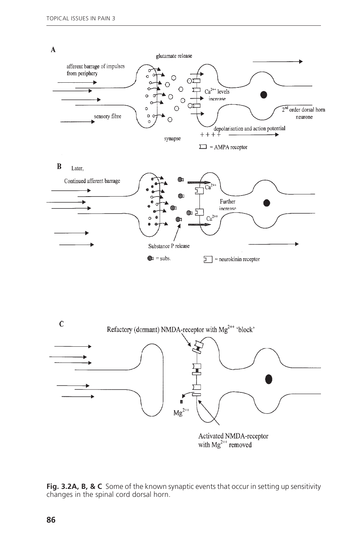



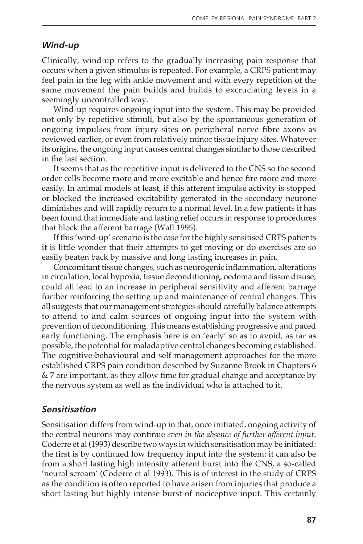#### *Wind-up*

Clinically, wind-up refers to the gradually increasing pain response that occurs when a given stimulus is repeated. For example, a CRPS patient may feel pain in the leg with ankle movement and with every repetition of the same movement the pain builds and builds to excruciating levels in a seemingly uncontrolled way.

Wind-up requires ongoing input into the system. This may be provided not only by repetitive stimuli, but also by the spontaneous generation of ongoing impulses from injury sites on peripheral nerve fibre axons as reviewed earlier, or even from relatively minor tissue injury sites. Whatever its origins, the ongoing input causes central changes similar to those described in the last section.

It seems that as the repetitive input is delivered to the CNS so the second order cells become more and more excitable and hence fire more and more easily. In animal models at least, if this afferent impulse activity is stopped or blocked the increased excitability generated in the secondary neurone diminishes and will rapidly return to a normal level. In a few patients it has been found that immediate and lasting relief occurs in response to procedures that block the afferent barrage (Wall 1995).

If this 'wind-up' scenario is the case for the highly sensitised CRPS patients it is little wonder that their attempts to get moving or do exercises are so easily beaten back by massive and long lasting increases in pain.

Concomitant tissue changes, such as neurogenic inflammation, alterations in circulation, local hypoxia, tissue deconditioning, oedema and tissue disuse, could all lead to an increase in peripheral sensitivity and afferent barrage further reinforcing the setting up and maintenance of central changes. This all suggests that our management strategies should carefully balance attempts to attend to and calm sources of ongoing input into the system with prevention of deconditioning. This means establishing progressive and paced early functioning. The emphasis here is on 'early' so as to avoid, as far as possible, the potential for maladaptive central changes becoming established. The cognitive-behavioural and self management approaches for the more established CRPS pain condition described by Suzanne Brook in Chapters 6 & 7 are important, as they allow time for gradual change and acceptance by the nervous system as well as the individual who is attached to it.

#### *Sensitisation*

Sensitisation differs from wind-up in that, once initiated, ongoing activity of the central neurons may continue *even in the absence of further afferent input*. Coderre et al (1993) describe two ways in which sensitisation may be initiated: the first is by continued low frequency input into the system: it can also be from a short lasting high intensity afferent burst into the CNS, a so-called 'neural scream' (Coderre et al 1993). This is of interest in the study of CRPS as the condition is often reported to have arisen from injuries that produce a short lasting but highly intense burst of nociceptive input. This certainly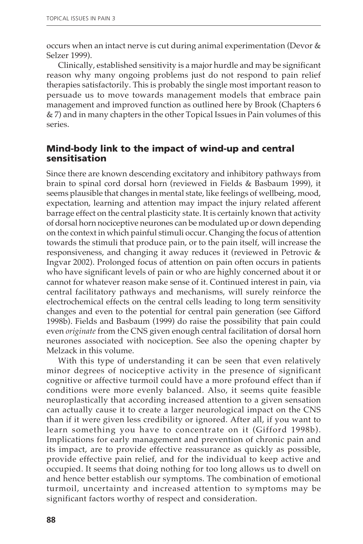occurs when an intact nerve is cut during animal experimentation (Devor & Selzer 1999).

Clinically, established sensitivity is a major hurdle and may be significant reason why many ongoing problems just do not respond to pain relief therapies satisfactorily. This is probably the single most important reason to persuade us to move towards management models that embrace pain management and improved function as outlined here by Brook (Chapters 6 & 7) and in many chapters in the other Topical Issues in Pain volumes of this series.

#### **Mind-body link to the impact of wind-up and central sensitisation**

Since there are known descending excitatory and inhibitory pathways from brain to spinal cord dorsal horn (reviewed in Fields & Basbaum 1999), it seems plausible that changes in mental state, like feelings of wellbeing, mood, expectation, learning and attention may impact the injury related afferent barrage effect on the central plasticity state. It is certainly known that activity of dorsal horn nociceptive neurones can be modulated up or down depending on the context in which painful stimuli occur. Changing the focus of attention towards the stimuli that produce pain, or to the pain itself, will increase the responsiveness, and changing it away reduces it (reviewed in Petrovic & Ingvar 2002). Prolonged focus of attention on pain often occurs in patients who have significant levels of pain or who are highly concerned about it or cannot for whatever reason make sense of it. Continued interest in pain, via central facilitatory pathways and mechanisms, will surely reinforce the electrochemical effects on the central cells leading to long term sensitivity changes and even to the potential for central pain generation (see Gifford 1998b). Fields and Basbaum (1999) do raise the possibility that pain could even *originate* from the CNS given enough central facilitation of dorsal horn neurones associated with nociception. See also the opening chapter by Melzack in this volume.

With this type of understanding it can be seen that even relatively minor degrees of nociceptive activity in the presence of significant cognitive or affective turmoil could have a more profound effect than if conditions were more evenly balanced. Also, it seems quite feasible neuroplastically that according increased attention to a given sensation can actually cause it to create a larger neurological impact on the CNS than if it were given less credibility or ignored. After all, if you want to learn something you have to concentrate on it (Gifford 1998b). Implications for early management and prevention of chronic pain and its impact, are to provide effective reassurance as quickly as possible, provide effective pain relief, and for the individual to keep active and occupied. It seems that doing nothing for too long allows us to dwell on and hence better establish our symptoms. The combination of emotional turmoil, uncertainty and increased attention to symptoms may be significant factors worthy of respect and consideration.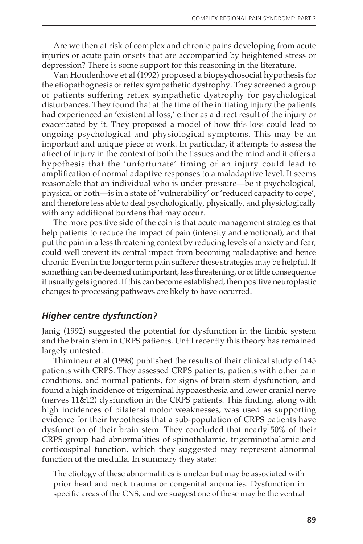Are we then at risk of complex and chronic pains developing from acute injuries or acute pain onsets that are accompanied by heightened stress or depression? There is some support for this reasoning in the literature.

Van Houdenhove et al (1992) proposed a biopsychosocial hypothesis for the etiopathognesis of reflex sympathetic dystrophy. They screened a group of patients suffering reflex sympathetic dystrophy for psychological disturbances. They found that at the time of the initiating injury the patients had experienced an 'existential loss,' either as a direct result of the injury or exacerbated by it. They proposed a model of how this loss could lead to ongoing psychological and physiological symptoms. This may be an important and unique piece of work. In particular, it attempts to assess the affect of injury in the context of both the tissues and the mind and it offers a hypothesis that the 'unfortunate' timing of an injury could lead to amplification of normal adaptive responses to a maladaptive level. It seems reasonable that an individual who is under pressure—be it psychological, physical or both—is in a state of 'vulnerability' or 'reduced capacity to cope', and therefore less able to deal psychologically, physically, and physiologically with any additional burdens that may occur.

The more positive side of the coin is that acute management strategies that help patients to reduce the impact of pain (intensity and emotional), and that put the pain in a less threatening context by reducing levels of anxiety and fear, could well prevent its central impact from becoming maladaptive and hence chronic. Even in the longer term pain sufferer these strategies may be helpful. If something can be deemed unimportant, less threatening, or of little consequence it usually gets ignored. If this can become established, then positive neuroplastic changes to processing pathways are likely to have occurred.

#### *Higher centre dysfunction?*

Janig (1992) suggested the potential for dysfunction in the limbic system and the brain stem in CRPS patients. Until recently this theory has remained largely untested.

Thimineur et al (1998) published the results of their clinical study of 145 patients with CRPS. They assessed CRPS patients, patients with other pain conditions, and normal patients, for signs of brain stem dysfunction, and found a high incidence of trigeminal hypoaesthesia and lower cranial nerve (nerves 11&12) dysfunction in the CRPS patients. This finding, along with high incidences of bilateral motor weaknesses, was used as supporting evidence for their hypothesis that a sub-population of CRPS patients have dysfunction of their brain stem. They concluded that nearly 50% of their CRPS group had abnormalities of spinothalamic, trigeminothalamic and corticospinal function, which they suggested may represent abnormal function of the medulla. In summary they state:

The etiology of these abnormalities is unclear but may be associated with prior head and neck trauma or congenital anomalies. Dysfunction in specific areas of the CNS, and we suggest one of these may be the ventral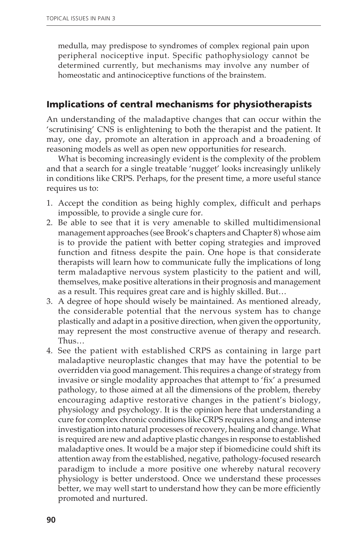medulla, may predispose to syndromes of complex regional pain upon peripheral nociceptive input. Specific pathophysiology cannot be determined currently, but mechanisms may involve any number of homeostatic and antinociceptive functions of the brainstem.

#### **Implications of central mechanisms for physiotherapists**

An understanding of the maladaptive changes that can occur within the 'scrutinising' CNS is enlightening to both the therapist and the patient. It may, one day, promote an alteration in approach and a broadening of reasoning models as well as open new opportunities for research.

What is becoming increasingly evident is the complexity of the problem and that a search for a single treatable 'nugget' looks increasingly unlikely in conditions like CRPS. Perhaps, for the present time, a more useful stance requires us to:

- 1. Accept the condition as being highly complex, difficult and perhaps impossible, to provide a single cure for.
- 2. Be able to see that it is very amenable to skilled multidimensional management approaches (see Brook's chapters and Chapter 8) whose aim is to provide the patient with better coping strategies and improved function and fitness despite the pain. One hope is that considerate therapists will learn how to communicate fully the implications of long term maladaptive nervous system plasticity to the patient and will, themselves, make positive alterations in their prognosis and management as a result. This requires great care and is highly skilled. But…
- 3. A degree of hope should wisely be maintained. As mentioned already, the considerable potential that the nervous system has to change plastically and adapt in a positive direction, when given the opportunity, may represent the most constructive avenue of therapy and research. Thus…
- 4. See the patient with established CRPS as containing in large part maladaptive neuroplastic changes that may have the potential to be overridden via good management. This requires a change of strategy from invasive or single modality approaches that attempt to 'fix' a presumed pathology, to those aimed at all the dimensions of the problem, thereby encouraging adaptive restorative changes in the patient's biology, physiology and psychology. It is the opinion here that understanding a cure for complex chronic conditions like CRPS requires a long and intense investigation into natural processes of recovery, healing and change. What is required are new and adaptive plastic changes in response to established maladaptive ones. It would be a major step if biomedicine could shift its attention away from the established, negative, pathology-focused research paradigm to include a more positive one whereby natural recovery physiology is better understood. Once we understand these processes better, we may well start to understand how they can be more efficiently promoted and nurtured.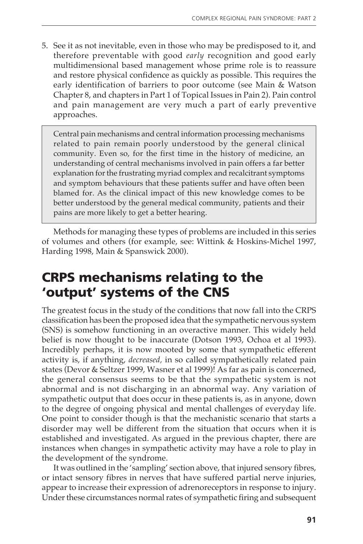5. See it as not inevitable, even in those who may be predisposed to it, and therefore preventable with good *early* recognition and good early multidimensional based management whose prime role is to reassure and restore physical confidence as quickly as possible. This requires the early identification of barriers to poor outcome (see Main & Watson Chapter 8, and chapters in Part 1 of Topical Issues in Pain 2). Pain control and pain management are very much a part of early preventive approaches.

Central pain mechanisms and central information processing mechanisms related to pain remain poorly understood by the general clinical community. Even so, for the first time in the history of medicine, an understanding of central mechanisms involved in pain offers a far better explanation for the frustrating myriad complex and recalcitrant symptoms and symptom behaviours that these patients suffer and have often been blamed for. As the clinical impact of this new knowledge comes to be better understood by the general medical community, patients and their pains are more likely to get a better hearing.

Methods for managing these types of problems are included in this series of volumes and others (for example, see: Wittink & Hoskins-Michel 1997, Harding 1998, Main & Spanswick 2000).

# **CRPS mechanisms relating to the 'output' systems of the CNS**

The greatest focus in the study of the conditions that now fall into the CRPS classification has been the proposed idea that the sympathetic nervous system (SNS) is somehow functioning in an overactive manner. This widely held belief is now thought to be inaccurate (Dotson 1993, Ochoa et al 1993). Incredibly perhaps, it is now mooted by some that sympathetic efferent activity is, if anything, *decreased,* in so called sympathetically related pain states (Devor & Seltzer 1999, Wasner et al 1999)! As far as pain is concerned, the general consensus seems to be that the sympathetic system is not abnormal and is not discharging in an abnormal way. Any variation of sympathetic output that does occur in these patients is, as in anyone, down to the degree of ongoing physical and mental challenges of everyday life. One point to consider though is that the mechanistic scenario that starts a disorder may well be different from the situation that occurs when it is established and investigated. As argued in the previous chapter, there are instances when changes in sympathetic activity may have a role to play in the development of the syndrome.

It was outlined in the 'sampling' section above, that injured sensory fibres, or intact sensory fibres in nerves that have suffered partial nerve injuries, appear to increase their expression of adrenoreceptors in response to injury. Under these circumstances normal rates of sympathetic firing and subsequent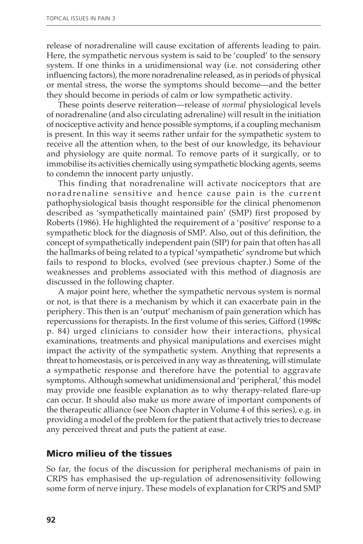release of noradrenaline will cause excitation of afferents leading to pain. Here, the sympathetic nervous system is said to be 'coupled' to the sensory system. If one thinks in a unidimensional way (i.e. not considering other influencing factors), the more noradrenaline released, as in periods of physical or mental stress, the worse the symptoms should become—and the better they should become in periods of calm or low sympathetic activity.

These points deserve reiteration—release of *normal* physiological levels of noradrenaline (and also circulating adrenaline) will result in the initiation of nociceptive activity and hence possible symptoms, if a coupling mechanism is present. In this way it seems rather unfair for the sympathetic system to receive all the attention when, to the best of our knowledge, its behaviour and physiology are quite normal. To remove parts of it surgically, or to immobilise its activities chemically using sympathetic blocking agents, seems to condemn the innocent party unjustly.

This finding that noradrenaline will activate nociceptors that are noradrenaline sensitive and hence cause pain is the current pathophysiological basis thought responsible for the clinical phenomenon described as 'sympathetically maintained pain' (SMP) first proposed by Roberts (1986). He highlighted the requirement of a 'positive' response to a sympathetic block for the diagnosis of SMP. Also, out of this definition, the concept of sympathetically independent pain (SIP) for pain that often has all the hallmarks of being related to a typical 'sympathetic' syndrome but which fails to respond to blocks, evolved (see previous chapter.) Some of the weaknesses and problems associated with this method of diagnosis are discussed in the following chapter.

A major point here, whether the sympathetic nervous system is normal or not, is that there is a mechanism by which it can exacerbate pain in the periphery. This then is an 'output' mechanism of pain generation which has repercussions for therapists. In the first volume of this series, Gifford (1998c p. 84) urged clinicians to consider how their interactions, physical examinations, treatments and physical manipulations and exercises might impact the activity of the sympathetic system. Anything that represents a threat to homeostasis, or is perceived in any way as threatening, will stimulate a sympathetic response and therefore have the potential to aggravate symptoms. Although somewhat unidimensional and 'peripheral,' this model may provide one feasible explanation as to why therapy-related flare-up can occur. It should also make us more aware of important components of the therapeutic alliance (see Noon chapter in Volume 4 of this series), e.g. in providing a model of the problem for the patient that actively tries to decrease any perceived threat and puts the patient at ease.

#### **Micro milieu of the tissues**

So far, the focus of the discussion for peripheral mechanisms of pain in CRPS has emphasised the up-regulation of adrenosensitivity following some form of nerve injury. These models of explanation for CRPS and SMP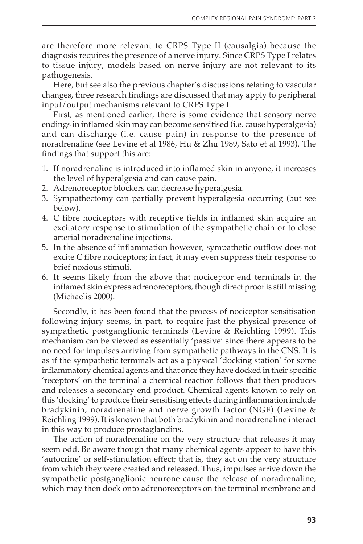are therefore more relevant to CRPS Type II (causalgia) because the diagnosis requires the presence of a nerve injury. Since CRPS Type I relates to tissue injury, models based on nerve injury are not relevant to its pathogenesis.

Here, but see also the previous chapter's discussions relating to vascular changes, three research findings are discussed that may apply to peripheral input/output mechanisms relevant to CRPS Type I.

First, as mentioned earlier, there is some evidence that sensory nerve endings in inflamed skin may can become sensitised (i.e. cause hyperalgesia) and can discharge (i.e. cause pain) in response to the presence of noradrenaline (see Levine et al 1986, Hu & Zhu 1989, Sato et al 1993). The findings that support this are:

- 1. If noradrenaline is introduced into inflamed skin in anyone, it increases the level of hyperalgesia and can cause pain.
- 2. Adrenoreceptor blockers can decrease hyperalgesia.
- 3. Sympathectomy can partially prevent hyperalgesia occurring (but see below).
- 4. C fibre nociceptors with receptive fields in inflamed skin acquire an excitatory response to stimulation of the sympathetic chain or to close arterial noradrenaline injections.
- 5. In the absence of inflammation however, sympathetic outflow does not excite C fibre nociceptors; in fact, it may even suppress their response to brief noxious stimuli.
- 6. It seems likely from the above that nociceptor end terminals in the inflamed skin express adrenoreceptors, though direct proof is still missing (Michaelis 2000).

Secondly, it has been found that the process of nociceptor sensitisation following injury seems, in part, to require just the physical presence of sympathetic postganglionic terminals (Levine & Reichling 1999). This mechanism can be viewed as essentially 'passive' since there appears to be no need for impulses arriving from sympathetic pathways in the CNS. It is as if the sympathetic terminals act as a physical 'docking station' for some inflammatory chemical agents and that once they have docked in their specific 'receptors' on the terminal a chemical reaction follows that then produces and releases a secondary end product. Chemical agents known to rely on this 'docking' to produce their sensitising effects during inflammation include bradykinin, noradrenaline and nerve growth factor (NGF) (Levine  $\&$ Reichling 1999). It is known that both bradykinin and noradrenaline interact in this way to produce prostaglandins.

The action of noradrenaline on the very structure that releases it may seem odd. Be aware though that many chemical agents appear to have this 'autocrine' or self-stimulation effect; that is, they act on the very structure from which they were created and released. Thus, impulses arrive down the sympathetic postganglionic neurone cause the release of noradrenaline, which may then dock onto adrenoreceptors on the terminal membrane and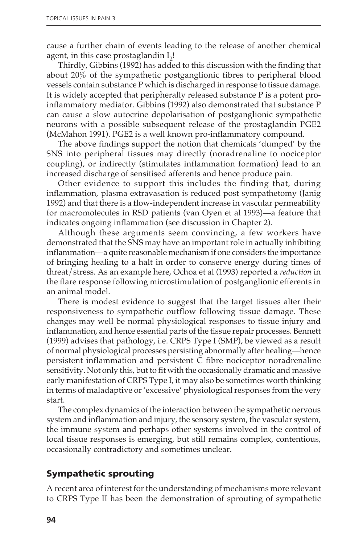cause a further chain of events leading to the release of another chemical agent, in this case prostaglandin  $I<sub>2</sub>!$ 

Thirdly, Gibbins (1992) has added to this discussion with the finding that about 20% of the sympathetic postganglionic fibres to peripheral blood vessels contain substance P which is discharged in response to tissue damage. It is widely accepted that peripherally released substance P is a potent proinflammatory mediator. Gibbins (1992) also demonstrated that substance P can cause a slow autocrine depolarisation of postganglionic sympathetic neurons with a possible subsequent release of the prostaglandin PGE2 (McMahon 1991). PGE2 is a well known pro-inflammatory compound.

The above findings support the notion that chemicals 'dumped' by the SNS into peripheral tissues may directly (noradrenaline to nociceptor coupling), or indirectly (stimulates inflammation formation) lead to an increased discharge of sensitised afferents and hence produce pain.

Other evidence to support this includes the finding that, during inflammation, plasma extravasation is reduced post sympathetomy (Janig 1992) and that there is a flow-independent increase in vascular permeability for macromolecules in RSD patients (van Oyen et al 1993)—a feature that indicates ongoing inflammation (see discussion in Chapter 2).

Although these arguments seem convincing, a few workers have demonstrated that the SNS may have an important role in actually inhibiting inflammation—a quite reasonable mechanism if one considers the importance of bringing healing to a halt in order to conserve energy during times of threat/stress. As an example here, Ochoa et al (1993) reported a *reduction* in the flare response following microstimulation of postganglionic efferents in an animal model.

There is modest evidence to suggest that the target tissues alter their responsiveness to sympathetic outflow following tissue damage. These changes may well be normal physiological responses to tissue injury and inflammation, and hence essential parts of the tissue repair processes. Bennett (1999) advises that pathology, i.e. CRPS Type I (SMP), be viewed as a result of normal physiological processes persisting abnormally after healing—hence persistent inflammation and persistent C fibre nociceptor noradrenaline sensitivity. Not only this, but to fit with the occasionally dramatic and massive early manifestation of CRPS Type I, it may also be sometimes worth thinking in terms of maladaptive or 'excessive' physiological responses from the very start.

The complex dynamics of the interaction between the sympathetic nervous system and inflammation and injury, the sensory system, the vascular system, the immune system and perhaps other systems involved in the control of local tissue responses is emerging, but still remains complex, contentious, occasionally contradictory and sometimes unclear.

#### **Sympathetic sprouting**

A recent area of interest for the understanding of mechanisms more relevant to CRPS Type II has been the demonstration of sprouting of sympathetic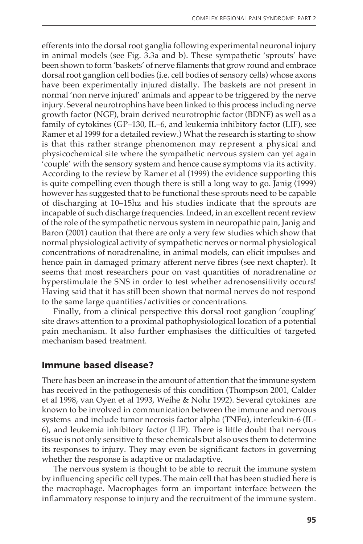efferents into the dorsal root ganglia following experimental neuronal injury in animal models (see Fig. 3.3a and b). These sympathetic 'sprouts' have been shown to form 'baskets' of nerve filaments that grow round and embrace dorsal root ganglion cell bodies (i.e. cell bodies of sensory cells) whose axons have been experimentally injured distally. The baskets are not present in normal 'non nerve injured' animals and appear to be triggered by the nerve injury. Several neurotrophins have been linked to this process including nerve growth factor (NGF), brain derived neurotrophic factor (BDNF) as well as a family of cytokines (GP–130, IL–6, and leukemia inhibitory factor (LIF), see Ramer et al 1999 for a detailed review.) What the research is starting to show is that this rather strange phenomenon may represent a physical and physicochemical site where the sympathetic nervous system can yet again 'couple' with the sensory system and hence cause symptoms via its activity. According to the review by Ramer et al (1999) the evidence supporting this is quite compelling even though there is still a long way to go. Janig (1999) however has suggested that to be functional these sprouts need to be capable of discharging at 10–15hz and his studies indicate that the sprouts are incapable of such discharge frequencies. Indeed, in an excellent recent review of the role of the sympathetic nervous system in neuropathic pain, Janig and Baron (2001) caution that there are only a very few studies which show that normal physiological activity of sympathetic nerves or normal physiological concentrations of noradrenaline, in animal models, can elicit impulses and hence pain in damaged primary afferent nerve fibres (see next chapter). It seems that most researchers pour on vast quantities of noradrenaline or hyperstimulate the SNS in order to test whether adrenosensitivity occurs! Having said that it has still been shown that normal nerves do not respond to the same large quantities/activities or concentrations.

Finally, from a clinical perspective this dorsal root ganglion 'coupling' site draws attention to a proximal pathophysiological location of a potential pain mechanism. It also further emphasises the difficulties of targeted mechanism based treatment.

#### **Immune based disease?**

There has been an increase in the amount of attention that the immune system has received in the pathogenesis of this condition (Thompson 2001, Calder et al 1998, van Oyen et al 1993, Weihe & Nohr 1992). Several cytokines are known to be involved in communication between the immune and nervous systems and include tumor necrosis factor alpha (TNFα), interleukin-6 (IL-6), and leukemia inhibitory factor (LIF). There is little doubt that nervous tissue is not only sensitive to these chemicals but also uses them to determine its responses to injury. They may even be significant factors in governing whether the response is adaptive or maladaptive.

The nervous system is thought to be able to recruit the immune system by influencing specific cell types. The main cell that has been studied here is the macrophage. Macrophages form an important interface between the inflammatory response to injury and the recruitment of the immune system.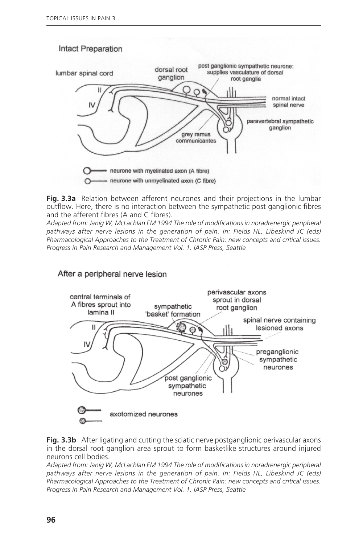#### **Intact Preparation**



**Fig. 3.3a** Relation between afferent neurones and their projections in the lumbar outflow. Here, there is no interaction between the sympathetic post ganglionic fibres and the afferent fibres (A and C fibres).

*Adapted from: Janig W, McLachlan EM 1994 The role of modifications in noradrenergic peripheral pathways after nerve lesions in the generation of pain. In: Fields HL, Libeskind JC (eds) Pharmacological Approaches to the Treatment of Chronic Pain: new concepts and critical issues. Progress in Pain Research and Management Vol. 1. IASP Press, Seattle*



#### After a peripheral nerve lesion

**Fig. 3.3b** After ligating and cutting the sciatic nerve postganglionic perivascular axons in the dorsal root ganglion area sprout to form basketlike structures around injured neurons cell bodies.

*Adapted from: Janig W, McLachlan EM 1994 The role of modifications in noradrenergic peripheral pathways after nerve lesions in the generation of pain. In: Fields HL, Libeskind JC (eds) Pharmacological Approaches to the Treatment of Chronic Pain: new concepts and critical issues. Progress in Pain Research and Management Vol. 1. IASP Press, Seattle*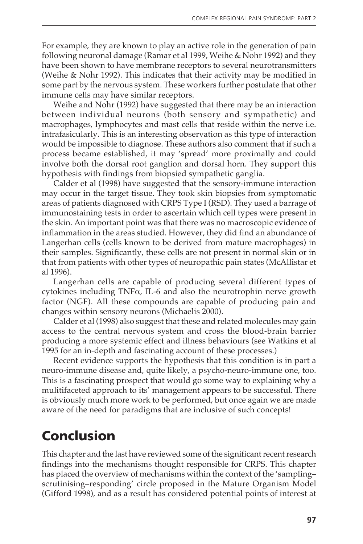For example, they are known to play an active role in the generation of pain following neuronal damage (Ramar et al 1999, Weihe & Nohr 1992) and they have been shown to have membrane receptors to several neurotransmitters (Weihe & Nohr 1992). This indicates that their activity may be modified in some part by the nervous system. These workers further postulate that other immune cells may have similar receptors.

Weihe and Nohr (1992) have suggested that there may be an interaction between individual neurons (both sensory and sympathetic) and macrophages, lymphocytes and mast cells that reside within the nerve i.e. intrafasicularly. This is an interesting observation as this type of interaction would be impossible to diagnose. These authors also comment that if such a process became established, it may 'spread' more proximally and could involve both the dorsal root ganglion and dorsal horn. They support this hypothesis with findings from biopsied sympathetic ganglia.

Calder et al (1998) have suggested that the sensory-immune interaction may occur in the target tissue. They took skin biopsies from symptomatic areas of patients diagnosed with CRPS Type I (RSD). They used a barrage of immunostaining tests in order to ascertain which cell types were present in the skin. An important point was that there was no macroscopic evidence of inflammation in the areas studied. However, they did find an abundance of Langerhan cells (cells known to be derived from mature macrophages) in their samples. Significantly, these cells are not present in normal skin or in that from patients with other types of neuropathic pain states (McAllistar et al 1996).

Langerhan cells are capable of producing several different types of cytokines including TNFα, IL-6 and also the neurotrophin nerve growth factor (NGF). All these compounds are capable of producing pain and changes within sensory neurons (Michaelis 2000).

Calder et al (1998) also suggest that these and related molecules may gain access to the central nervous system and cross the blood-brain barrier producing a more systemic effect and illness behaviours (see Watkins et al 1995 for an in-depth and fascinating account of these processes.)

Recent evidence supports the hypothesis that this condition is in part a neuro-immune disease and, quite likely, a psycho-neuro-immune one, too. This is a fascinating prospect that would go some way to explaining why a mulitifaceted approach to its' management appears to be successful. There is obviously much more work to be performed, but once again we are made aware of the need for paradigms that are inclusive of such concepts!

### **Conclusion**

This chapter and the last have reviewed some of the significant recent research findings into the mechanisms thought responsible for CRPS. This chapter has placed the overview of mechanisms within the context of the 'sampling– scrutinising–responding' circle proposed in the Mature Organism Model (Gifford 1998), and as a result has considered potential points of interest at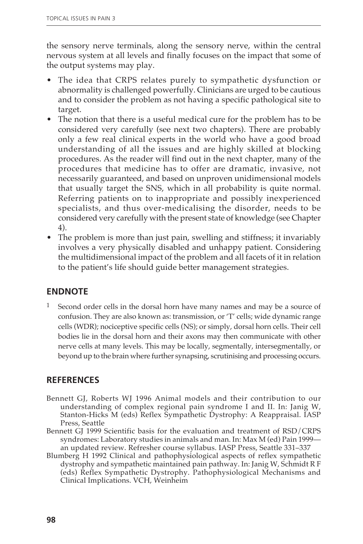the sensory nerve terminals, along the sensory nerve, within the central nervous system at all levels and finally focuses on the impact that some of the output systems may play.

- The idea that CRPS relates purely to sympathetic dysfunction or abnormality is challenged powerfully. Clinicians are urged to be cautious and to consider the problem as not having a specific pathological site to target.
- The notion that there is a useful medical cure for the problem has to be considered very carefully (see next two chapters). There are probably only a few real clinical experts in the world who have a good broad understanding of all the issues and are highly skilled at blocking procedures. As the reader will find out in the next chapter, many of the procedures that medicine has to offer are dramatic, invasive, not necessarily guaranteed, and based on unproven unidimensional models that usually target the SNS, which in all probability is quite normal. Referring patients on to inappropriate and possibly inexperienced specialists, and thus over-medicalising the disorder, needs to be considered very carefully with the present state of knowledge (see Chapter 4).
- The problem is more than just pain, swelling and stiffness; it invariably involves a very physically disabled and unhappy patient. Considering the multidimensional impact of the problem and all facets of it in relation to the patient's life should guide better management strategies.

#### **ENDNOTE**

<sup>1</sup> Second order cells in the dorsal horn have many names and may be a source of confusion. They are also known as: transmission, or 'T' cells; wide dynamic range cells (WDR); nociceptive specific cells (NS); or simply, dorsal horn cells. Their cell bodies lie in the dorsal horn and their axons may then communicate with other nerve cells at many levels. This may be locally, segmentally, intersegmentally, or beyond up to the brain where further synapsing, scrutinising and processing occurs.

#### **REFERENCES**

- Bennett GJ, Roberts WJ 1996 Animal models and their contribution to our understanding of complex regional pain syndrome I and II. In: Janig W, Stanton-Hicks M (eds) Reflex Sympathetic Dystrophy: A Reappraisal. IASP Press, Seattle
- Bennett GJ 1999 Scientific basis for the evaluation and treatment of RSD/CRPS syndromes: Laboratory studies in animals and man. In: Max M (ed) Pain 1999 an updated review. Refresher course syllabus. IASP Press, Seattle 331–337
- Blumberg H 1992 Clinical and pathophysiological aspects of reflex sympathetic dystrophy and sympathetic maintained pain pathway. In: Janig W, Schmidt R F (eds) Reflex Sympathetic Dystrophy. Pathophysiological Mechanisms and Clinical Implications. VCH, Weinheim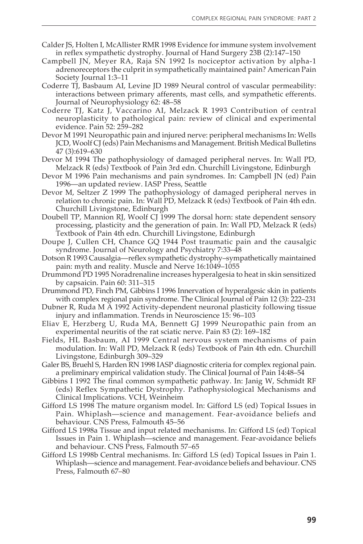- Calder JS, Holten I, McAllister RMR 1998 Evidence for immune system involvement in reflex sympathetic dystrophy. Journal of Hand Surgery 23B (2):147–150
- Campbell JN, Meyer RA, Raja SN 1992 Is nociceptor activation by alpha-1 adrenoreceptors the culprit in sympathetically maintained pain? American Pain Society Journal 1:3–11
- Coderre TJ, Basbaum AI, Levine JD 1989 Neural control of vascular permeability: interactions between primary afferents, mast cells, and sympathetic efferents. Journal of Neurophysiology 62: 48–58
- Coderre TJ, Katz J, Vaccarino AI, Melzack R 1993 Contribution of central neuroplasticity to pathological pain: review of clinical and experimental evidence. Pain 52: 259–282
- Devor M 1991 Neuropathic pain and injured nerve: peripheral mechanisms In: Wells JCD, Woolf CJ (eds) Pain Mechanisms and Management. British Medical Bulletins 47 (3):619–630
- Devor M 1994 The pathophysiology of damaged peripheral nerves. In: Wall PD, Melzack R (eds) Textbook of Pain 3rd edn. Churchill Livingstone, Edinburgh
- Devor M 1996 Pain mechanisms and pain syndromes. In: Campbell JN (ed) Pain 1996—an updated review. IASP Press, Seattle
- Devor M, Seltzer Z 1999 The pathophysiology of damaged peripheral nerves in relation to chronic pain. In: Wall PD, Melzack R (eds) Textbook of Pain 4th edn. Churchill Livingstone, Edinburgh
- Doubell TP, Mannion RJ, Woolf CJ 1999 The dorsal horn: state dependent sensory processing, plasticity and the generation of pain. In: Wall PD, Melzack R (eds) Textbook of Pain 4th edn. Churchill Livingstone, Edinburgh
- Doupe J, Cullen CH, Chance GQ 1944 Post traumatic pain and the causalgic syndrome. Journal of Neurology and Psychiatry 7:33–48
- Dotson R 1993 Causalgia—reflex sympathetic dystrophy–sympathetically maintained pain: myth and reality. Muscle and Nerve 16:1049–1055
- Drummond PD 1995 Noradrenaline increases hyperalgesia to heat in skin sensitized by capsaicin. Pain 60: 311–315
- Drummond PD, Finch PM, Gibbins I 1996 Innervation of hyperalgesic skin in patients with complex regional pain syndrome. The Clinical Journal of Pain 12 (3): 222–231
- Dubner R, Ruda M A 1992 Activity-dependent neuronal plasticity following tissue injury and inflammation. Trends in Neuroscience 15: 96–103
- Eliav E, Herzberg U, Ruda MA, Bennett GJ 1999 Neuropathic pain from an experimental neuritis of the rat sciatic nerve. Pain 83 (2): 169–182
- Fields, HL Basbaum, AI 1999 Central nervous system mechanisms of pain modulation. In: Wall PD, Melzack R (eds) Textbook of Pain 4th edn. Churchill Livingstone, Edinburgh 309–329
- Galer BS, Bruehl S, Harden RN 1998 IASP diagnostic criteria for complex regional pain. a preliminary empirical validation study. The Clinical Journal of Pain 14:48–54
- Gibbins I 1992 The final common sympathetic pathway. In: Janig W, Schmidt RF (eds) Reflex Sympathetic Dystrophy. Pathophysiological Mechanisms and Clinical Implications. VCH, Weinheim
- Gifford LS 1998 The mature organism model. In: Gifford LS (ed) Topical Issues in Pain. Whiplash—science and management. Fear-avoidance beliefs and behaviour. CNS Press, Falmouth 45–56
- Gifford LS 1998a Tissue and input related mechanisms. In: Gifford LS (ed) Topical Issues in Pain 1. Whiplash—science and management. Fear-avoidance beliefs and behaviour. CNS Press, Falmouth 57–65
- Gifford LS 1998b Central mechanisms. In: Gifford LS (ed) Topical Issues in Pain 1. Whiplash—science and management. Fear-avoidance beliefs and behaviour. CNS Press, Falmouth 67–80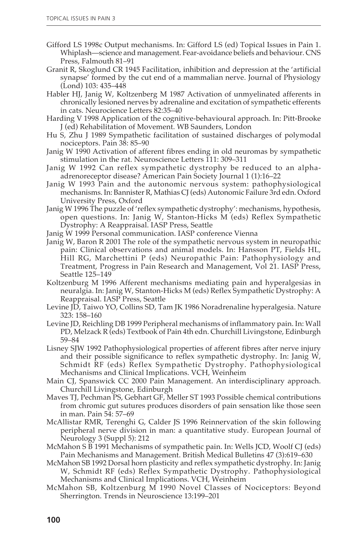- Gifford LS 1998c Output mechanisms. In: Gifford LS (ed) Topical Issues in Pain 1. Whiplash—science and management. Fear-avoidance beliefs and behaviour. CNS Press, Falmouth 81–91
- Granit R, Skoglund CR 1945 Facilitation, inhibition and depression at the 'artificial synapse' formed by the cut end of a mammalian nerve. Journal of Physiology (Lond) 103: 435–448
- Habler HJ, Janig W, Koltzenberg M 1987 Activation of unmyelinated afferents in chronically lesioned nerves by adrenaline and excitation of sympathetic efferents in cats. Neurocience Letters 82:35–40
- Harding V 1998 Application of the cognitive-behavioural approach. In: Pitt-Brooke J (ed) Rehabilitation of Movement. WB Saunders, London
- Hu S, Zhu J 1989 Sympathetic facilitation of sustained discharges of polymodal nociceptors. Pain 38: 85–90
- Janig W 1990 Activation of afferent fibres ending in old neuromas by sympathetic stimulation in the rat. Neuroscience Letters 111: 309–311
- Janig W 1992 Can reflex sympathetic dystrophy be reduced to an alphaadrenoreceptor disease? American Pain Society Journal 1 (1):16–22
- Janig W 1993 Pain and the autonomic nervous system: pathophysiological mechanisms. In: Bannister R, Mathias CJ (eds) Autonomic Failure 3rd edn. Oxford University Press, Oxford
- Janig W 1996 The puzzle of 'reflex sympathetic dystrophy': mechanisms, hypothesis, open questions. In: Janig W, Stanton-Hicks M (eds) Reflex Sympathetic Dystrophy: A Reappraisal. IASP Press, Seattle
- Janig W 1999 Personal communication. IASP conference Vienna
- Janig W, Baron R 2001 The role of the sympathetic nervous system in neuropathic pain: Clinical observations and animal models. In: Hansson PT, Fields HL, Hill RG, Marchettini P (eds) Neuropathic Pain: Pathophysiology and Treatment, Progress in Pain Research and Management, Vol 21. IASP Press, Seattle 125–149
- Koltzenburg M 1996 Afferent mechanisms mediating pain and hyperalgesias in neuralgia. In: Janig W, Stanton-Hicks M (eds) Reflex Sympathetic Dystrophy: A Reappraisal. IASP Press, Seattle
- Levine JD, Taiwo YO, Collins SD, Tam JK 1986 Noradrenaline hyperalgesia. Nature 323: 158–160
- Levine JD, Reichling DB 1999 Peripheral mechanisms of inflammatory pain. In: Wall PD, Melzack R (eds) Textbook of Pain 4th edn. Churchill Livingstone, Edinburgh 59–84
- Lisney SJW 1992 Pathophysiological properties of afferent fibres after nerve injury and their possible significance to reflex sympathetic dystrophy. In: Janig W, Schmidt RF (eds) Reflex Sympathetic Dystrophy. Pathophysiological Mechanisms and Clinical Implications. VCH, Weinheim
- Main CJ, Spanswick CC 2000 Pain Management. An interdisciplinary approach. Churchill Livingstone, Edinburgh
- Maves TJ, Pechman PS, Gebhart GF, Meller ST 1993 Possible chemical contributions from chromic gut sutures produces disorders of pain sensation like those seen in man. Pain 54: 57–69
- McAllistar RMR, Terenghi G, Calder JS 1996 Reinnervation of the skin following peripheral nerve division in man: a quantitative study. European Journal of Neurology 3 (Suppl 5): 212
- McMahon S B 1991 Mechanisms of sympathetic pain. In: Wells JCD, Woolf CJ (eds) Pain Mechanisms and Management. British Medical Bulletins 47 (3):619–630
- McMahon SB 1992 Dorsal horn plasticity and reflex sympathetic dystrophy. In: Janig W, Schmidt RF (eds) Reflex Sympathetic Dystrophy. Pathophysiological Mechanisms and Clinical Implications. VCH, Weinheim
- McMahon SB, Koltzenburg M 1990 Novel Classes of Nociceptors: Beyond Sherrington. Trends in Neuroscience 13:199–201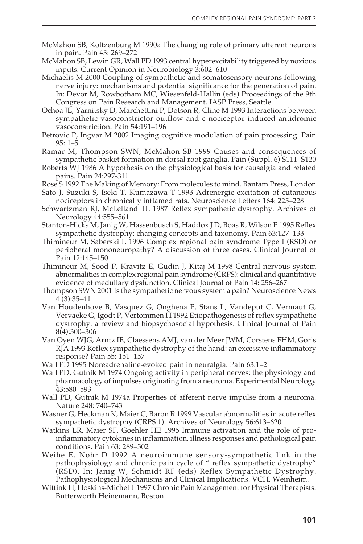- McMahon SB, Koltzenburg M 1990a The changing role of primary afferent neurons in pain. Pain 43: 269–272
- McMahon SB, Lewin GR, Wall PD 1993 central hyperexcitability triggered by noxious inputs. Current Opinion in Neurobiology 3:602–610
- Michaelis M 2000 Coupling of sympathetic and somatosensory neurons following nerve injury: mechanisms and potential significance for the generation of pain. In: Devor M, Rowbotham MC, Wiesenfeld-Hallin (eds) Proceedings of the 9th Congress on Pain Research and Management. IASP Press, Seattle
- Ochoa JL, Yarnitsky D, Marchettini P, Dotson R, Cline M 1993 Interactions between sympathetic vasoconstrictor outflow and c nociceptor induced antidromic vasoconstriction. Pain 54:191–196
- Petrovic P, Ingvar M 2002 Imaging cognitive modulation of pain processing. Pain 95: 1–5
- Ramar M, Thompson SWN, McMahon SB 1999 Causes and consequences of sympathetic basket formation in dorsal root ganglia. Pain (Suppl. 6) S111–S120
- Roberts WJ 1986 A hypothesis on the physiological basis for causalgia and related pains. Pain 24:297-311
- Rose S 1992 The Making of Memory: From molecules to mind. Bantam Press, London
- Sato J, Suzuki S, Iseki T, Kumazawa T 1993 Adrenergic excitation of cutaneous nociceptors in chronically inflamed rats. Neuroscience Letters 164: 225–228
- Schwartzman RJ, McLelland TL 1987 Reflex sympathetic dystrophy. Archives of Neurology 44:555–561
- Stanton-Hicks M, Janig W, Hassenbusch S, Haddox J D, Boas R, Wilson P 1995 Reflex sympathetic dystrophy: changing concepts and taxonomy. Pain 63:127–133
- Thimineur M, Saberski L 1996 Complex regional pain syndrome Type I (RSD) or peripheral mononeuropathy? A discussion of three cases. Clinical Journal of Pain 12:145–150
- Thimineur M, Sood P, Kravitz E, Gudin J, Kitaj M 1998 Central nervous system abnormalities in complex regional pain syndrome (CRPS): clinical and quantitative evidence of medullary dysfunction. Clinical Journal of Pain 14: 256–267
- Thompson SWN 2001 Is the sympathetic nervous system a pain? Neuroscience News 4 (3):35–41
- Van Houdenhove B, Vasquez G, Onghena P, Stans L, Vandeput C, Vermaut G, Vervaeke G, Igodt P, Vertommen H 1992 Etiopathogenesis of reflex sympathetic dystrophy: a review and biopsychosocial hypothesis. Clinical Journal of Pain 8(4):300–306
- Van Oyen WJG, Arntz IE, Claessens AMJ, van der Meer JWM, Corstens FHM, Goris RJA 1993 Reflex sympathetic dystrophy of the hand: an excessive inflammatory response? Pain 55: 151–157
- Wall PD 1995 Noreadrenaline-evoked pain in neuralgia. Pain 63:1–2
- Wall PD, Gutnik M 1974 Ongoing activity in peripheral nerves: the physiology and pharmacology of impulses originating from a neuroma. Experimental Neurology 43:580–593
- Wall PD, Gutnik M 1974a Properties of afferent nerve impulse from a neuroma. Nature 248: 740–743
- Wasner G, Heckman K, Maier C, Baron R 1999 Vascular abnormalities in acute reflex sympathetic dystrophy (CRPS 1). Archives of Neurology 56:613–620
- Watkins LR, Maier SF, Goehler HE 1995 Immune activation and the role of proinflammatory cytokines in inflammation, illness responses and pathological pain conditions. Pain 63: 289–302
- Weihe E, Nohr D 1992 A neuroimmune sensory-sympathetic link in the pathophysiology and chronic pain cycle of " reflex sympathetic dystrophy" (RSD). In: Janig W, Schmidt RF (eds) Reflex Sympathetic Dystrophy. Pathophysiological Mechanisms and Clinical Implications. VCH, Weinheim.
- Wittink H, Hoskins-Michel T 1997 Chronic Pain Management for Physical Therapists. Butterworth Heinemann, Boston